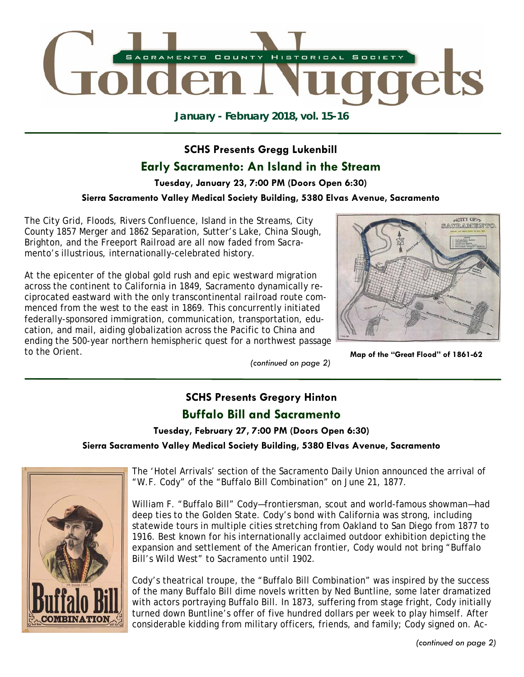

**January - February 2018, vol. 15-16** 

# **SCHS Presents Gregg Lukenbill Early Sacramento: An Island in the Stream**

# **Tuesday, January 23, 7:00 PM (Doors Open 6:30)**

## **Sierra Sacramento Valley Medical Society Building, 5380 Elvas Avenue, Sacramento**

The City Grid, Floods, Rivers Confluence, Island in the Streams, City County 1857 Merger and 1862 Separation, Sutter's Lake, China Slough, Brighton, and the Freeport Railroad are all now faded from Sacramento's illustrious, internationally-celebrated history.

At the epicenter of the global gold rush and epic westward migration across the continent to California in 1849, Sacramento dynamically reciprocated eastward with the only transcontinental railroad route commenced from the west to the east in 1869. This concurrently initiated federally-sponsored immigration, communication, transportation, education, and mail, aiding globalization across the Pacific to China and ending the 500-year northern hemispheric quest for a northwest passage to the Orient.

*(continued on page 2)* 



**Map of the "Great Flood" of 1861-62**

# **SCHS Presents Gregory Hinton Buffalo Bill and Sacramento**

# **Tuesday, February 27, 7:00 PM (Doors Open 6:30)**

### **Sierra Sacramento Valley Medical Society Building, 5380 Elvas Avenue, Sacramento**



The 'Hotel Arrivals' section of the Sacramento Daily Union announced the arrival of "W.F. Cody" of the "Buffalo Bill Combination" on June 21, 1877.

William F. "Buffalo Bill" Cody—frontiersman, scout and world-famous showman—had deep ties to the Golden State. Cody's bond with California was strong, including statewide tours in multiple cities stretching from Oakland to San Diego from 1877 to 1916. Best known for his internationally acclaimed outdoor exhibition depicting the expansion and settlement of the American frontier, Cody would not bring "Buffalo Bill's Wild West" to Sacramento until 1902.

Cody's theatrical troupe, the "Buffalo Bill Combination" was inspired by the success of the many Buffalo Bill dime novels written by Ned Buntline, some later dramatized with actors portraying Buffalo Bill. In 1873, suffering from stage fright, Cody initially turned down Buntline's offer of five hundred dollars per week to play himself. After considerable kidding from military officers, friends, and family; Cody signed on. Ac-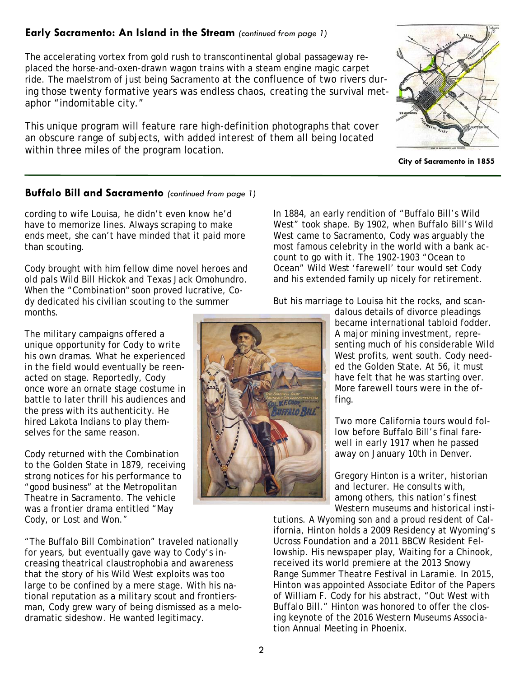# **Early Sacramento: An Island in the Stream** *(continued from page 1)*

The accelerating vortex from gold rush to transcontinental global passageway replaced the horse-and-oxen-drawn wagon trains with a steam engine magic carpet ride. The maelstrom of just being Sacramento at the confluence of two rivers during those twenty formative years was endless chaos, creating the survival metaphor "indomitable city."

This unique program will feature rare high-definition photographs that cover an obscure range of subjects, with added interest of them all being located within three miles of the program location.

**City of Sacramento in 1855**

## **Buffalo Bill and Sacramento** *(continued from page 1)*

cording to wife Louisa, he didn't even know he'd have to memorize lines. Always scraping to make ends meet, she can't have minded that it paid more than scouting.

Cody brought with him fellow dime novel heroes and old pals Wild Bill Hickok and Texas Jack Omohundro. When the "Combination" soon proved lucrative, Cody dedicated his civilian scouting to the summer months.

The military campaigns offered a unique opportunity for Cody to write his own dramas. What he experienced in the field would eventually be reenacted on stage. Reportedly, Cody once wore an ornate stage costume in battle to later thrill his audiences and the press with its authenticity. He hired Lakota Indians to play themselves for the same reason.

Cody returned with the Combination to the Golden State in 1879, receiving strong notices for his performance to "good business" at the Metropolitan Theatre in Sacramento. The vehicle was a frontier drama entitled "May Cody, or Lost and Won."

"The Buffalo Bill Combination" traveled nationally for years, but eventually gave way to Cody's increasing theatrical claustrophobia and awareness that the story of his Wild West exploits was too large to be confined by a mere stage. With his national reputation as a military scout and frontiersman, Cody grew wary of being dismissed as a melodramatic sideshow. He wanted legitimacy.

In 1884, an early rendition of "Buffalo Bill's Wild West" took shape. By 1902, when Buffalo Bill's Wild West came to Sacramento, Cody was arguably the most famous celebrity in the world with a bank account to go with it. The 1902-1903 "Ocean to Ocean" Wild West 'farewell' tour would set Cody and his extended family up nicely for retirement.

But his marriage to Louisa hit the rocks, and scan-

dalous details of divorce pleadings became international tabloid fodder. A major mining investment, representing much of his considerable Wild West profits, went south. Cody needed the Golden State. At 56, it must have felt that he was starting over. More farewell tours were in the offing.

Two more California tours would follow before Buffalo Bill's final farewell in early 1917 when he passed away on January 10th in Denver.

Gregory Hinton is a writer, historian and lecturer. He consults with, among others, this nation's finest Western museums and historical insti-

tutions. A Wyoming son and a proud resident of California, Hinton holds a 2009 Residency at Wyoming's Ucross Foundation and a 2011 BBCW Resident Fellowship. His newspaper play, Waiting for a Chinook, received its world premiere at the 2013 Snowy Range Summer Theatre Festival in Laramie. In 2015, Hinton was appointed Associate Editor of the Papers of William F. Cody for his abstract, "Out West with Buffalo Bill." Hinton was honored to offer the closing keynote of the 2016 Western Museums Association Annual Meeting in Phoenix.

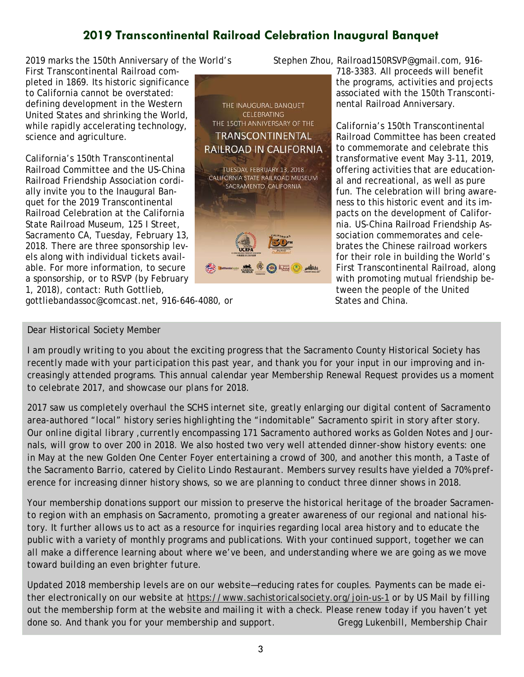# **2019 Transcontinental Railroad Celebration Inaugural Banquet**

2019 marks the 150th Anniversary of the World's

First Transcontinental Railroad completed in 1869. Its historic significance to California cannot be overstated: defining development in the Western United States and shrinking the World, while rapidly accelerating technology, science and agriculture.

California's 150th Transcontinental Railroad Committee and the US-China Railroad Friendship Association cordially invite you to the Inaugural Banquet for the 2019 Transcontinental Railroad Celebration at the California State Railroad Museum, 125 I Street, Sacramento CA, Tuesday, February 13, 2018. There are three sponsorship levels along with individual tickets available. For more information, to secure a sponsorship, or to RSVP (by February 1, 2018), contact: Ruth Gottlieb,

gottliebandassoc@comcast.net, 916-646-4080, or

### *Dear Historical Society Member*



Stephen Zhou, Railroad150RSVP@gmail.com, 916-

718-3383. All proceeds will benefit the programs, activities and projects associated with the 150th Transcontinental Railroad Anniversary.

California's 150th Transcontinental Railroad Committee has been created to commemorate and celebrate this transformative event May 3-11, 2019, offering activities that are educational and recreational, as well as pure fun. The celebration will bring awareness to this historic event and its impacts on the development of California. US-China Railroad Friendship Association commemorates and celebrates the Chinese railroad workers for their role in building the World's First Transcontinental Railroad, along with promoting mutual friendship between the people of the United States and China.

*I am proudly writing to you about the exciting progress that the Sacramento County Historical Society has recently made with your participation this past year, and thank you for your input in our improving and increasingly attended programs. This annual calendar year Membership Renewal Request provides us a moment to celebrate 2017, and showcase our plans for 2018.* 

*2017 saw us completely overhaul the SCHS internet site, greatly enlarging our digital content of Sacramento area-authored "local" history series highlighting the "indomitable" Sacramento spirit in story after story. Our online digital library ,currently encompassing 171 Sacramento authored works as Golden Notes and Jour*nals, will grow to over 200 in 2018. We also hosted two very well attended dinner-show history events: one *in May at the new Golden One Center Foyer entertaining a crowd of 300, and another this month, a Taste of the Sacramento Barrio, catered by Cielito Lindo Restaurant. Members survey results have yielded a 70% preference for increasing dinner history shows, so we are planning to conduct three dinner shows in 2018.* 

*Your membership donations support our mission to preserve the historical heritage of the broader Sacramento region with an emphasis on Sacramento, promoting a greater awareness of our regional and national history. It further allows us to act as a resource for inquiries regarding local area history and to educate the public with a variety of monthly programs and publications. With your continued support, together we can all make a difference learning about where we've been, and understanding where we are going as we move toward building an even brighter future.* 

*Updated 2018 membership levels are on our website—reducing rates for couples. Payments can be made either electronically on our website at https://www.sachistoricalsociety.org/join-us-1 or by US Mail by filling out the membership form at the website and mailing it with a check. Please renew today if you haven't yet*  done so. And thank you for your membership and support. Gregg Lukenbill, Membership Chair